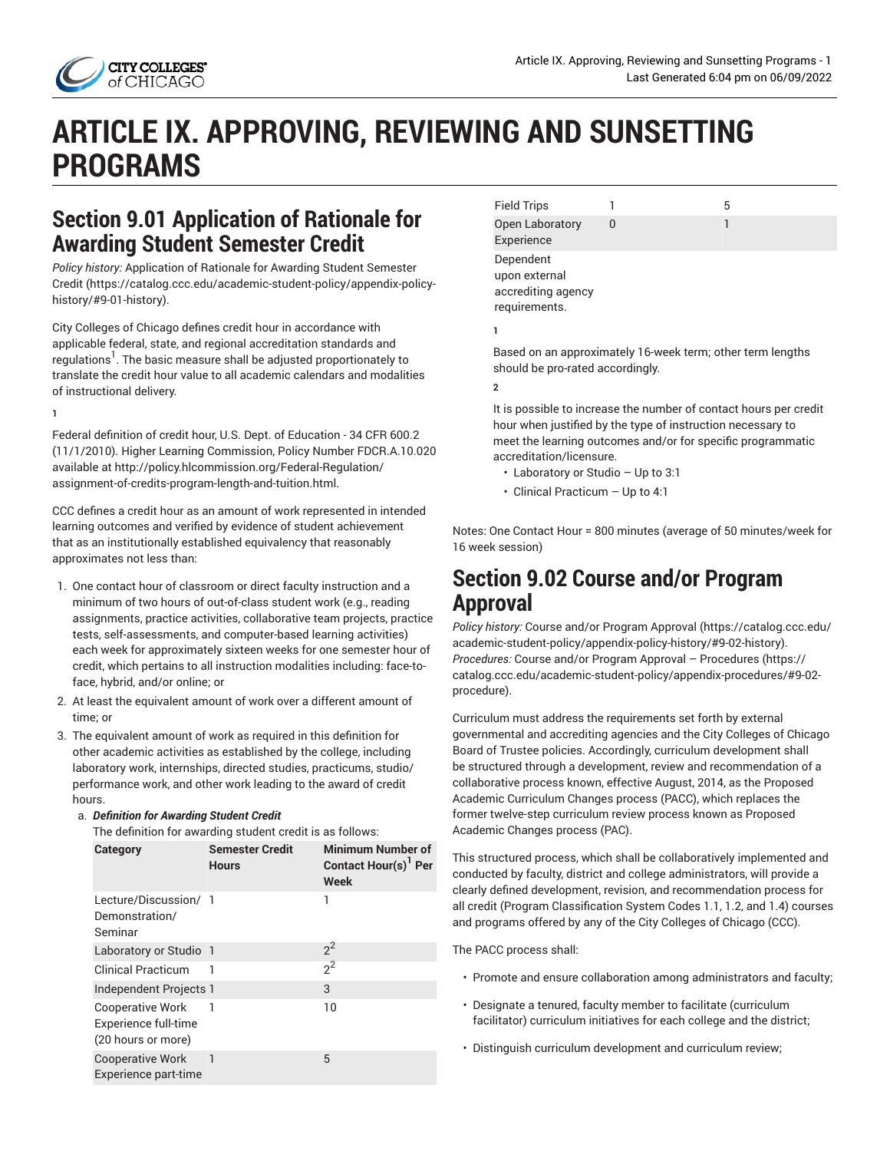

# **ARTICLE IX. APPROVING, REVIEWING AND SUNSETTING PROGRAMS**

# **Section 9.01 Application of Rationale for Awarding Student Semester Credit**

*Policy history:* [Application](https://catalog.ccc.edu/academic-student-policy/appendix-policy-history/#9-01-history) of Rationale for Awarding Student Semester [Credit](https://catalog.ccc.edu/academic-student-policy/appendix-policy-history/#9-01-history) ([https://catalog.ccc.edu/academic-student-policy/appendix-policy](https://catalog.ccc.edu/academic-student-policy/appendix-policy-history/#9-01-history)[history/#9-01-history\)](https://catalog.ccc.edu/academic-student-policy/appendix-policy-history/#9-01-history).

City Colleges of Chicago defines credit hour in accordance with applicable federal, state, and regional accreditation standards and regulations $^{\mathrm{1}}$  . The basic measure shall be adjusted proportionately to translate the credit hour value to all academic calendars and modalities of instructional delivery.

**1**

Federal definition of credit hour, U.S. Dept. of Education - 34 CFR 600.2 (11/1/2010). Higher Learning Commission, Policy Number FDCR.A.10.020 available at [http://policy.hlcommission.org/Federal-Regulation/](http://policy.hlcommission.org/Federal-Regulation/assignment-of-credits-program-length-and-tuition.html) [assignment-of-credits-program-length-and-tuition.html.](http://policy.hlcommission.org/Federal-Regulation/assignment-of-credits-program-length-and-tuition.html)

CCC defines a credit hour as an amount of work represented in intended learning outcomes and verified by evidence of student achievement that as an institutionally established equivalency that reasonably approximates not less than:

- 1. One contact hour of classroom or direct faculty instruction and a minimum of two hours of out-of-class student work (e.g., reading assignments, practice activities, collaborative team projects, practice tests, self-assessments, and computer-based learning activities) each week for approximately sixteen weeks for one semester hour of credit, which pertains to all instruction modalities including: face-toface, hybrid, and/or online; or
- 2. At least the equivalent amount of work over a different amount of time; or
- 3. The equivalent amount of work as required in this definition for other academic activities as established by the college, including laboratory work, internships, directed studies, practicums, studio/ performance work, and other work leading to the award of credit hours.

#### a. *Definition for Awarding Student Credit*

The definition for awarding student credit is as follows:

| Category                                                              | <b>Semester Credit</b><br><b>Hours</b> | <b>Minimum Number of</b><br>Contact Hour(s) Per<br>Week |
|-----------------------------------------------------------------------|----------------------------------------|---------------------------------------------------------|
| Lecture/Discussion/ 1<br>Demonstration/<br>Seminar                    |                                        | 1                                                       |
| Laboratory or Studio 1                                                |                                        | $2^2$                                                   |
| <b>Clinical Practicum</b>                                             | ı                                      | $2^2$                                                   |
| Independent Projects 1                                                |                                        | 3                                                       |
| <b>Cooperative Work</b><br>Experience full-time<br>(20 hours or more) | 1                                      | 10                                                      |
| <b>Cooperative Work</b><br>Experience part-time                       | $\mathbf{1}$                           | 5                                                       |

| <b>Field Trips</b>                                                |   | 5 |
|-------------------------------------------------------------------|---|---|
| Open Laboratory<br>Experience                                     | O |   |
| Dependent<br>upon external<br>accrediting agency<br>requirements. |   |   |

**1**

Based on an approximately 16-week term; other term lengths should be pro-rated accordingly.

**2**

It is possible to increase the number of contact hours per credit hour when justified by the type of instruction necessary to meet the learning outcomes and/or for specific programmatic accreditation/licensure.

- Laboratory or Studio Up to 3:1
- Clinical Practicum Up to 4:1

Notes: One Contact Hour = 800 minutes (average of 50 minutes/week for 16 week session)

### **Section 9.02 Course and/or Program Approval**

*Policy history:* Course and/or Program [Approval \(https://catalog.ccc.edu/](https://catalog.ccc.edu/academic-student-policy/appendix-policy-history/#9-02-history) [academic-student-policy/appendix-policy-history/#9-02-history](https://catalog.ccc.edu/academic-student-policy/appendix-policy-history/#9-02-history)). *Procedures:* Course and/or Program Approval – [Procedures \(https://](https://catalog.ccc.edu/academic-student-policy/appendix-procedures/#9-02-procedure) [catalog.ccc.edu/academic-student-policy/appendix-procedures/#9-02](https://catalog.ccc.edu/academic-student-policy/appendix-procedures/#9-02-procedure) [procedure\)](https://catalog.ccc.edu/academic-student-policy/appendix-procedures/#9-02-procedure).

Curriculum must address the requirements set forth by external governmental and accrediting agencies and the City Colleges of Chicago Board of Trustee policies. Accordingly, curriculum development shall be structured through a development, review and recommendation of a collaborative process known, effective August, 2014, as the Proposed Academic Curriculum Changes process (PACC), which replaces the former twelve-step curriculum review process known as Proposed Academic Changes process (PAC).

This structured process, which shall be collaboratively implemented and conducted by faculty, district and college administrators, will provide a clearly defined development, revision, and recommendation process for all credit (Program Classification System Codes 1.1, 1.2, and 1.4) courses and programs offered by any of the City Colleges of Chicago (CCC).

The PACC process shall:

- Promote and ensure collaboration among administrators and faculty;
- Designate a tenured, faculty member to facilitate (curriculum facilitator) curriculum initiatives for each college and the district;
- Distinguish curriculum development and curriculum review;